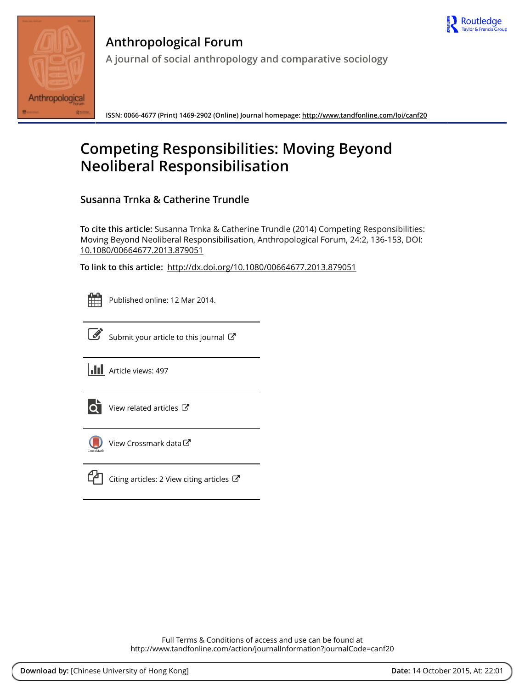



**Anthropological Forum A journal of social anthropology and comparative sociology**

**ISSN: 0066-4677 (Print) 1469-2902 (Online) Journal homepage:<http://www.tandfonline.com/loi/canf20>**

## **Competing Responsibilities: Moving Beyond Neoliberal Responsibilisation**

**Susanna Trnka & Catherine Trundle**

**To cite this article:** Susanna Trnka & Catherine Trundle (2014) Competing Responsibilities: Moving Beyond Neoliberal Responsibilisation, Anthropological Forum, 24:2, 136-153, DOI: [10.1080/00664677.2013.879051](http://www.tandfonline.com/action/showCitFormats?doi=10.1080/00664677.2013.879051)

**To link to this article:** <http://dx.doi.org/10.1080/00664677.2013.879051>

Published online: 12 Mar 2014.



 $\overline{\mathscr{L}}$  [Submit your article to this journal](http://www.tandfonline.com/action/authorSubmission?journalCode=canf20&page=instructions)  $\mathbb{F}$ 





[View related articles](http://www.tandfonline.com/doi/mlt/10.1080/00664677.2013.879051) C



[View Crossmark data](http://crossmark.crossref.org/dialog/?doi=10.1080/00664677.2013.879051&domain=pdf&date_stamp=2014-03-12)



[Citing articles: 2 View citing articles](http://www.tandfonline.com/doi/citedby/10.1080/00664677.2013.879051#tabModule)  $\mathbb{Z}$ 

Full Terms & Conditions of access and use can be found at <http://www.tandfonline.com/action/journalInformation?journalCode=canf20>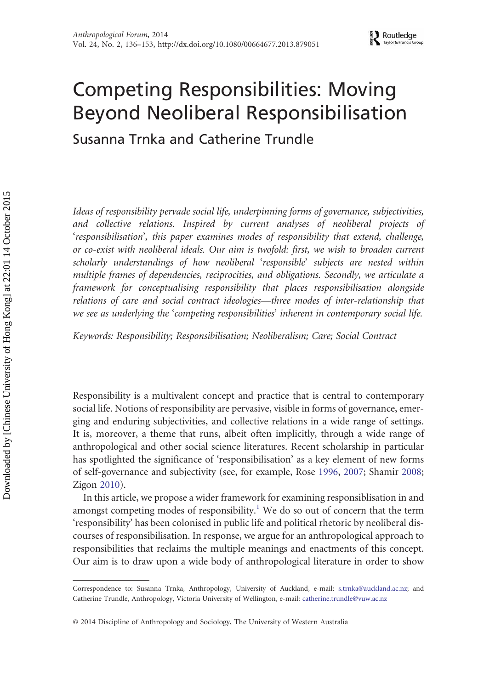# Competing Responsibilities: Moving Beyond Neoliberal Responsibilisation

Susanna Trnka and Catherine Trundle

Ideas of responsibility pervade social life, underpinning forms of governance, subjectivities, and collective relations. Inspired by current analyses of neoliberal projects of 'responsibilisation', this paper examines modes of responsibility that extend, challenge, or co-exist with neoliberal ideals. Our aim is twofold: first, we wish to broaden current scholarly understandings of how neoliberal 'responsible' subjects are nested within multiple frames of dependencies, reciprocities, and obligations. Secondly, we articulate a framework for conceptualising responsibility that places responsibilisation alongside relations of care and social contract ideologies—three modes of inter-relationship that we see as underlying the 'competing responsibilities' inherent in contemporary social life.

Keywords: Responsibility; Responsibilisation; Neoliberalism; Care; Social Contract

Responsibility is a multivalent concept and practice that is central to contemporary social life. Notions of responsibility are pervasive, visible in forms of governance, emerging and enduring subjectivities, and collective relations in a wide range of settings. It is, moreover, a theme that runs, albeit often implicitly, through a wide range of anthropological and other social science literatures. Recent scholarship in particular has spotlighted the significance of 'responsibilisation' as a key element of new forms of self-governance and subjectivity (see, for example, Rose [1996,](#page-17-0) [2007](#page-17-0); Shamir [2008;](#page-17-0) Zigon [2010](#page-18-0)).

In this article, we propose a wider framework for examining responsiblisation in and amongst competing modes of responsibility.<sup>1</sup> We do so out of concern that the term 'responsibility' has been colonised in public life and political rhetoric by neoliberal discourses of responsibilisation. In response, we argue for an anthropological approach to responsibilities that reclaims the multiple meanings and enactments of this concept. Our aim is to draw upon a wide body of anthropological literature in order to show

Correspondence to: Susanna Trnka, Anthropology, University of Auckland, e-mail: [s.trnka@auckland.ac.nz](mailto:s.trnka@auckland.ac.nz); and Catherine Trundle, Anthropology, Victoria University of Wellington, e-mail: [catherine.trundle@vuw.ac.nz](mailto:catherine.trundle@vuw.ac.nz)

<sup>© 2014</sup> Discipline of Anthropology and Sociology, The University of Western Australia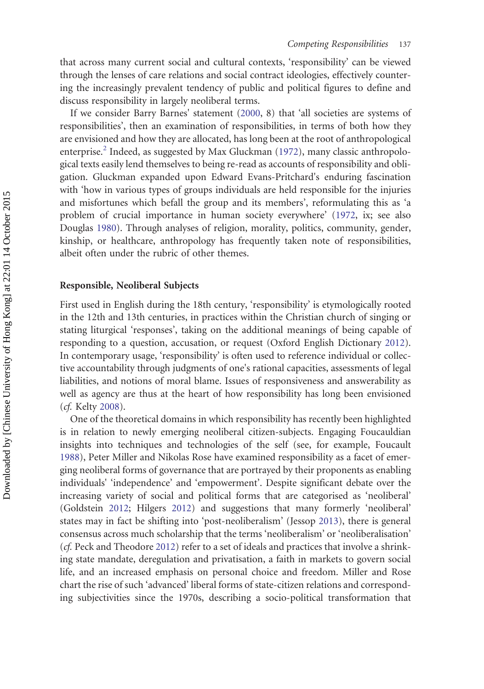that across many current social and cultural contexts, 'responsibility' can be viewed through the lenses of care relations and social contract ideologies, effectively countering the increasingly prevalent tendency of public and political figures to define and discuss responsibility in largely neoliberal terms.

If we consider Barry Barnes' statement [\(2000](#page-16-0), 8) that 'all societies are systems of responsibilities', then an examination of responsibilities, in terms of both how they are envisioned and how they are allocated, has long been at the root of anthropological enterprise.<sup>[2](#page-15-0)</sup> Indeed, as suggested by Max Gluckman [\(1972](#page-16-0)), many classic anthropological texts easily lend themselves to being re-read as accounts of responsibility and obligation. Gluckman expanded upon Edward Evans-Pritchard's enduring fascination with 'how in various types of groups individuals are held responsible for the injuries and misfortunes which befall the group and its members', reformulating this as 'a problem of crucial importance in human society everywhere' [\(1972](#page-16-0), ix; see also Douglas [1980\)](#page-16-0). Through analyses of religion, morality, politics, community, gender, kinship, or healthcare, anthropology has frequently taken note of responsibilities, albeit often under the rubric of other themes.

#### Responsible, Neoliberal Subjects

First used in English during the 18th century, 'responsibility' is etymologically rooted in the 12th and 13th centuries, in practices within the Christian church of singing or stating liturgical 'responses', taking on the additional meanings of being capable of responding to a question, accusation, or request (Oxford English Dictionary [2012\)](#page-17-0). In contemporary usage, 'responsibility' is often used to reference individual or collective accountability through judgments of one's rational capacities, assessments of legal liabilities, and notions of moral blame. Issues of responsiveness and answerability as well as agency are thus at the heart of how responsibility has long been envisioned (cf. Kelty [2008\)](#page-16-0).

One of the theoretical domains in which responsibility has recently been highlighted is in relation to newly emerging neoliberal citizen-subjects. Engaging Foucauldian insights into techniques and technologies of the self (see, for example, Foucault [1988](#page-16-0)), Peter Miller and Nikolas Rose have examined responsibility as a facet of emerging neoliberal forms of governance that are portrayed by their proponents as enabling individuals' 'independence' and 'empowerment'. Despite significant debate over the increasing variety of social and political forms that are categorised as 'neoliberal' (Goldstein [2012](#page-16-0); Hilgers [2012](#page-16-0)) and suggestions that many formerly 'neoliberal' states may in fact be shifting into 'post-neoliberalism' (Jessop [2013](#page-16-0)), there is general consensus across much scholarship that the terms 'neoliberalism' or 'neoliberalisation' (cf. Peck and Theodore [2012\)](#page-17-0) refer to a set of ideals and practices that involve a shrinking state mandate, deregulation and privatisation, a faith in markets to govern social life, and an increased emphasis on personal choice and freedom. Miller and Rose chart the rise of such 'advanced' liberal forms of state-citizen relations and corresponding subjectivities since the 1970s, describing a socio-political transformation that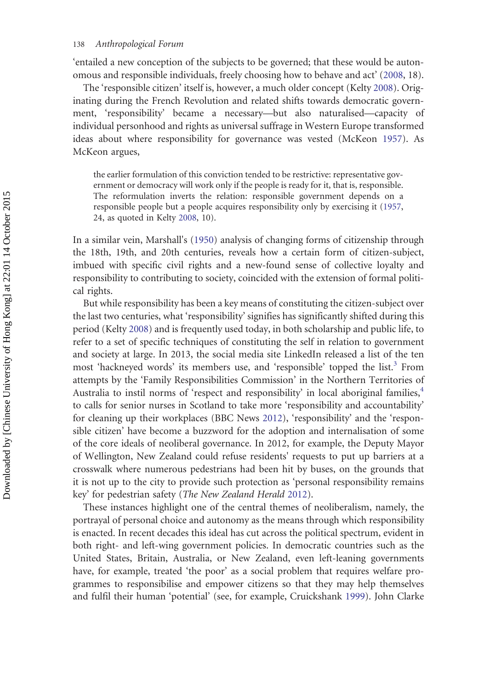'entailed a new conception of the subjects to be governed; that these would be autonomous and responsible individuals, freely choosing how to behave and act' ([2008,](#page-17-0) 18).

The 'responsible citizen' itself is, however, a much older concept (Kelty [2008\)](#page-16-0). Originating during the French Revolution and related shifts towards democratic government, 'responsibility' became a necessary—but also naturalised—capacity of individual personhood and rights as universal suffrage in Western Europe transformed ideas about where responsibility for governance was vested (McKeon [1957](#page-17-0)). As McKeon argues,

the earlier formulation of this conviction tended to be restrictive: representative government or democracy will work only if the people is ready for it, that is, responsible. The reformulation inverts the relation: responsible government depends on a responsible people but a people acquires responsibility only by exercising it ([1957,](#page-17-0) 24, as quoted in Kelty [2008](#page-16-0), 10).

In a similar vein, Marshall's ([1950\)](#page-17-0) analysis of changing forms of citizenship through the 18th, 19th, and 20th centuries, reveals how a certain form of citizen-subject, imbued with specific civil rights and a new-found sense of collective loyalty and responsibility to contributing to society, coincided with the extension of formal political rights.

But while responsibility has been a key means of constituting the citizen-subject over the last two centuries, what 'responsibility' signifies has significantly shifted during this period (Kelty [2008](#page-16-0)) and is frequently used today, in both scholarship and public life, to refer to a set of specific techniques of constituting the self in relation to government and society at large. In 2013, the social media site LinkedIn released a list of the ten most 'hackneyed words' its members use, and 'responsible' topped the list.<sup>3</sup> From attempts by the 'Family Responsibilities Commission' in the Northern Territories of Australia to instil norms of 'respect and responsibility' in local aboriginal families, $4\overline{4}$ to calls for senior nurses in Scotland to take more 'responsibility and accountability' for cleaning up their workplaces (BBC News [2012\)](#page-16-0), 'responsibility' and the 'responsible citizen' have become a buzzword for the adoption and internalisation of some of the core ideals of neoliberal governance. In 2012, for example, the Deputy Mayor of Wellington, New Zealand could refuse residents' requests to put up barriers at a crosswalk where numerous pedestrians had been hit by buses, on the grounds that it is not up to the city to provide such protection as 'personal responsibility remains key' for pedestrian safety (The New Zealand Herald [2012](#page-17-0)).

These instances highlight one of the central themes of neoliberalism, namely, the portrayal of personal choice and autonomy as the means through which responsibility is enacted. In recent decades this ideal has cut across the political spectrum, evident in both right- and left-wing government policies. In democratic countries such as the United States, Britain, Australia, or New Zealand, even left-leaning governments have, for example, treated 'the poor' as a social problem that requires welfare programmes to responsibilise and empower citizens so that they may help themselves and fulfil their human 'potential' (see, for example, Cruickshank [1999](#page-16-0)). John Clarke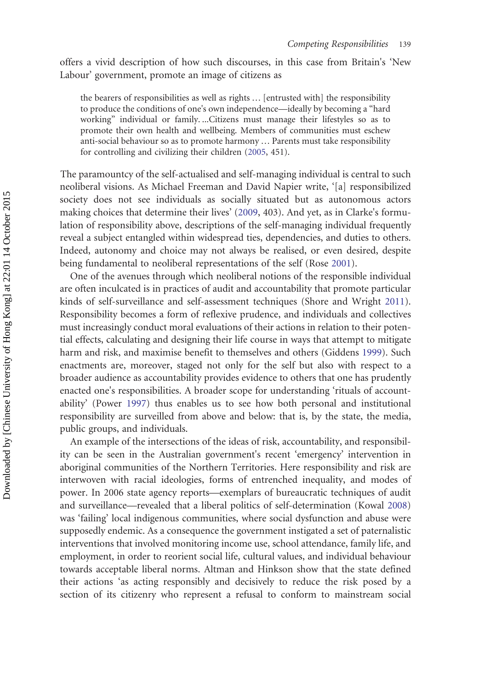offers a vivid description of how such discourses, in this case from Britain's 'New Labour' government, promote an image of citizens as

the bearers of responsibilities as well as rights … [entrusted with] the responsibility to produce the conditions of one's own independence—ideally by becoming a "hard working" individual or family. ...Citizens must manage their lifestyles so as to promote their own health and wellbeing. Members of communities must eschew anti-social behaviour so as to promote harmony … Parents must take responsibility for controlling and civilizing their children ([2005,](#page-16-0) 451).

The paramountcy of the self-actualised and self-managing individual is central to such neoliberal visions. As Michael Freeman and David Napier write, '[a] responsibilized society does not see individuals as socially situated but as autonomous actors making choices that determine their lives' ([2009,](#page-16-0) 403). And yet, as in Clarke's formulation of responsibility above, descriptions of the self-managing individual frequently reveal a subject entangled within widespread ties, dependencies, and duties to others. Indeed, autonomy and choice may not always be realised, or even desired, despite being fundamental to neoliberal representations of the self (Rose [2001](#page-17-0)).

One of the avenues through which neoliberal notions of the responsible individual are often inculcated is in practices of audit and accountability that promote particular kinds of self-surveillance and self-assessment techniques (Shore and Wright [2011\)](#page-17-0). Responsibility becomes a form of reflexive prudence, and individuals and collectives must increasingly conduct moral evaluations of their actions in relation to their potential effects, calculating and designing their life course in ways that attempt to mitigate harm and risk, and maximise benefit to themselves and others (Giddens [1999](#page-16-0)). Such enactments are, moreover, staged not only for the self but also with respect to a broader audience as accountability provides evidence to others that one has prudently enacted one's responsibilities. A broader scope for understanding 'rituals of accountability' (Power [1997](#page-17-0)) thus enables us to see how both personal and institutional responsibility are surveilled from above and below: that is, by the state, the media, public groups, and individuals.

An example of the intersections of the ideas of risk, accountability, and responsibility can be seen in the Australian government's recent 'emergency' intervention in aboriginal communities of the Northern Territories. Here responsibility and risk are interwoven with racial ideologies, forms of entrenched inequality, and modes of power. In 2006 state agency reports—exemplars of bureaucratic techniques of audit and surveillance—revealed that a liberal politics of self-determination (Kowal [2008](#page-17-0)) was 'failing' local indigenous communities, where social dysfunction and abuse were supposedly endemic. As a consequence the government instigated a set of paternalistic interventions that involved monitoring income use, school attendance, family life, and employment, in order to reorient social life, cultural values, and individual behaviour towards acceptable liberal norms. Altman and Hinkson show that the state defined their actions 'as acting responsibly and decisively to reduce the risk posed by a section of its citizenry who represent a refusal to conform to mainstream social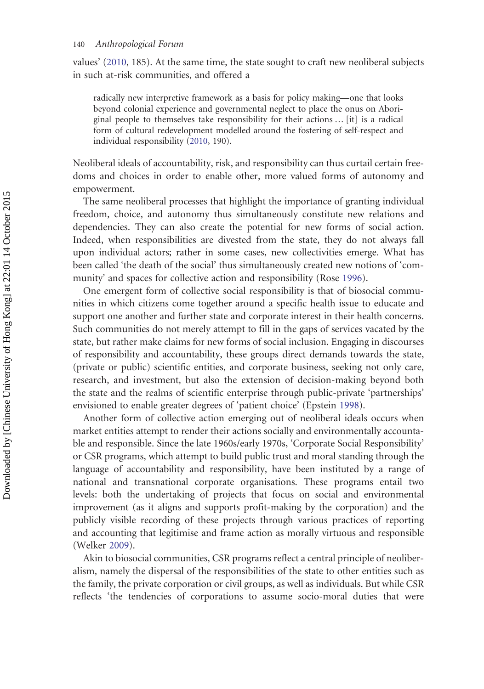values' ([2010,](#page-15-0) 185). At the same time, the state sought to craft new neoliberal subjects in such at-risk communities, and offered a

radically new interpretive framework as a basis for policy making—one that looks beyond colonial experience and governmental neglect to place the onus on Aboriginal people to themselves take responsibility for their actions … [it] is a radical form of cultural redevelopment modelled around the fostering of self-respect and individual responsibility [\(2010,](#page-15-0) 190).

Neoliberal ideals of accountability, risk, and responsibility can thus curtail certain freedoms and choices in order to enable other, more valued forms of autonomy and empowerment.

The same neoliberal processes that highlight the importance of granting individual freedom, choice, and autonomy thus simultaneously constitute new relations and dependencies. They can also create the potential for new forms of social action. Indeed, when responsibilities are divested from the state, they do not always fall upon individual actors; rather in some cases, new collectivities emerge. What has been called 'the death of the social' thus simultaneously created new notions of 'community' and spaces for collective action and responsibility (Rose [1996](#page-17-0)).

One emergent form of collective social responsibility is that of biosocial communities in which citizens come together around a specific health issue to educate and support one another and further state and corporate interest in their health concerns. Such communities do not merely attempt to fill in the gaps of services vacated by the state, but rather make claims for new forms of social inclusion. Engaging in discourses of responsibility and accountability, these groups direct demands towards the state, (private or public) scientific entities, and corporate business, seeking not only care, research, and investment, but also the extension of decision-making beyond both the state and the realms of scientific enterprise through public-private 'partnerships' envisioned to enable greater degrees of 'patient choice' (Epstein [1998](#page-16-0)).

Another form of collective action emerging out of neoliberal ideals occurs when market entities attempt to render their actions socially and environmentally accountable and responsible. Since the late 1960s/early 1970s, 'Corporate Social Responsibility' or CSR programs, which attempt to build public trust and moral standing through the language of accountability and responsibility, have been instituted by a range of national and transnational corporate organisations. These programs entail two levels: both the undertaking of projects that focus on social and environmental improvement (as it aligns and supports profit-making by the corporation) and the publicly visible recording of these projects through various practices of reporting and accounting that legitimise and frame action as morally virtuous and responsible (Welker [2009](#page-18-0)).

Akin to biosocial communities, CSR programs reflect a central principle of neoliberalism, namely the dispersal of the responsibilities of the state to other entities such as the family, the private corporation or civil groups, as well as individuals. But while CSR reflects 'the tendencies of corporations to assume socio-moral duties that were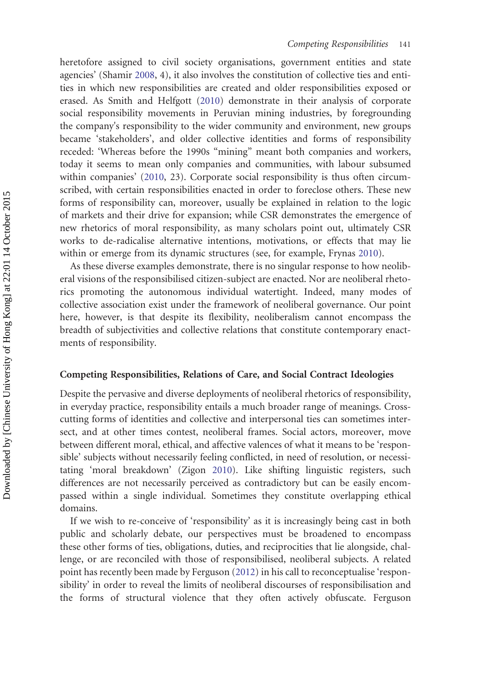heretofore assigned to civil society organisations, government entities and state agencies' (Shamir [2008,](#page-17-0) 4), it also involves the constitution of collective ties and entities in which new responsibilities are created and older responsibilities exposed or erased. As Smith and Helfgott [\(2010](#page-17-0)) demonstrate in their analysis of corporate social responsibility movements in Peruvian mining industries, by foregrounding the company's responsibility to the wider community and environment, new groups became 'stakeholders', and older collective identities and forms of responsibility receded: 'Whereas before the 1990s "mining" meant both companies and workers, today it seems to mean only companies and communities, with labour subsumed within companies' ([2010](#page-17-0), 23). Corporate social responsibility is thus often circumscribed, with certain responsibilities enacted in order to foreclose others. These new forms of responsibility can, moreover, usually be explained in relation to the logic of markets and their drive for expansion; while CSR demonstrates the emergence of new rhetorics of moral responsibility, as many scholars point out, ultimately CSR works to de-radicalise alternative intentions, motivations, or effects that may lie within or emerge from its dynamic structures (see, for example, Frynas [2010\)](#page-16-0).

As these diverse examples demonstrate, there is no singular response to how neoliberal visions of the responsibilised citizen-subject are enacted. Nor are neoliberal rhetorics promoting the autonomous individual watertight. Indeed, many modes of collective association exist under the framework of neoliberal governance. Our point here, however, is that despite its flexibility, neoliberalism cannot encompass the breadth of subjectivities and collective relations that constitute contemporary enactments of responsibility.

### Competing Responsibilities, Relations of Care, and Social Contract Ideologies

Despite the pervasive and diverse deployments of neoliberal rhetorics of responsibility, in everyday practice, responsibility entails a much broader range of meanings. Crosscutting forms of identities and collective and interpersonal ties can sometimes intersect, and at other times contest, neoliberal frames. Social actors, moreover, move between different moral, ethical, and affective valences of what it means to be 'responsible' subjects without necessarily feeling conflicted, in need of resolution, or necessitating 'moral breakdown' (Zigon [2010\)](#page-18-0). Like shifting linguistic registers, such differences are not necessarily perceived as contradictory but can be easily encompassed within a single individual. Sometimes they constitute overlapping ethical domains.

If we wish to re-conceive of 'responsibility' as it is increasingly being cast in both public and scholarly debate, our perspectives must be broadened to encompass these other forms of ties, obligations, duties, and reciprocities that lie alongside, challenge, or are reconciled with those of responsibilised, neoliberal subjects. A related point has recently been made by Ferguson [\(2012](#page-16-0)) in his call to reconceptualise 'responsibility' in order to reveal the limits of neoliberal discourses of responsibilisation and the forms of structural violence that they often actively obfuscate. Ferguson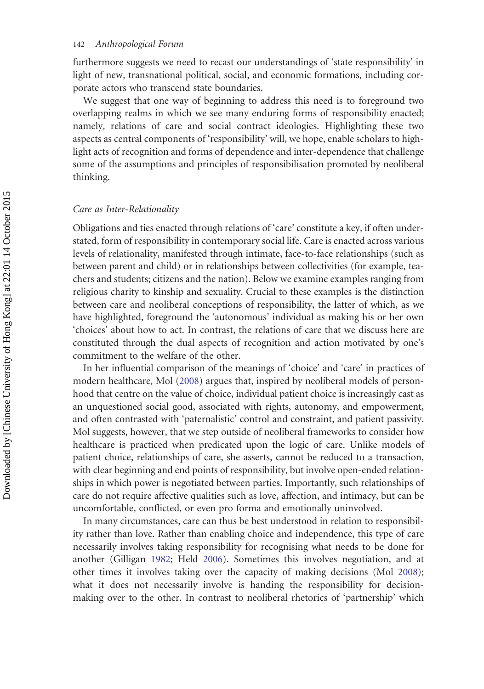furthermore suggests we need to recast our understandings of 'state responsibility' in light of new, transnational political, social, and economic formations, including corporate actors who transcend state boundaries.

We suggest that one way of beginning to address this need is to foreground two overlapping realms in which we see many enduring forms of responsibility enacted; namely, relations of care and social contract ideologies. Highlighting these two aspects as central components of 'responsibility' will, we hope, enable scholars to highlight acts of recognition and forms of dependence and inter-dependence that challenge some of the assumptions and principles of responsibilisation promoted by neoliberal thinking.

#### Care as Inter-Relationality

Obligations and ties enacted through relations of 'care' constitute a key, if often understated, form of responsibility in contemporary social life. Care is enacted across various levels of relationality, manifested through intimate, face-to-face relationships (such as between parent and child) or in relationships between collectivities (for example, teachers and students; citizens and the nation). Below we examine examples ranging from religious charity to kinship and sexuality. Crucial to these examples is the distinction between care and neoliberal conceptions of responsibility, the latter of which, as we have highlighted, foreground the 'autonomous' individual as making his or her own 'choices' about how to act. In contrast, the relations of care that we discuss here are constituted through the dual aspects of recognition and action motivated by one's commitment to the welfare of the other.

In her influential comparison of the meanings of 'choice' and 'care' in practices of modern healthcare, Mol ([2008\)](#page-17-0) argues that, inspired by neoliberal models of personhood that centre on the value of choice, individual patient choice is increasingly cast as an unquestioned social good, associated with rights, autonomy, and empowerment, and often contrasted with 'paternalistic' control and constraint, and patient passivity. Mol suggests, however, that we step outside of neoliberal frameworks to consider how healthcare is practiced when predicated upon the logic of care. Unlike models of patient choice, relationships of care, she asserts, cannot be reduced to a transaction, with clear beginning and end points of responsibility, but involve open-ended relationships in which power is negotiated between parties. Importantly, such relationships of care do not require affective qualities such as love, affection, and intimacy, but can be uncomfortable, conflicted, or even pro forma and emotionally uninvolved.

In many circumstances, care can thus be best understood in relation to responsibility rather than love. Rather than enabling choice and independence, this type of care necessarily involves taking responsibility for recognising what needs to be done for another (Gilligan [1982;](#page-16-0) Held [2006\)](#page-16-0). Sometimes this involves negotiation, and at other times it involves taking over the capacity of making decisions (Mol [2008\)](#page-17-0); what it does not necessarily involve is handing the responsibility for decisionmaking over to the other. In contrast to neoliberal rhetorics of 'partnership' which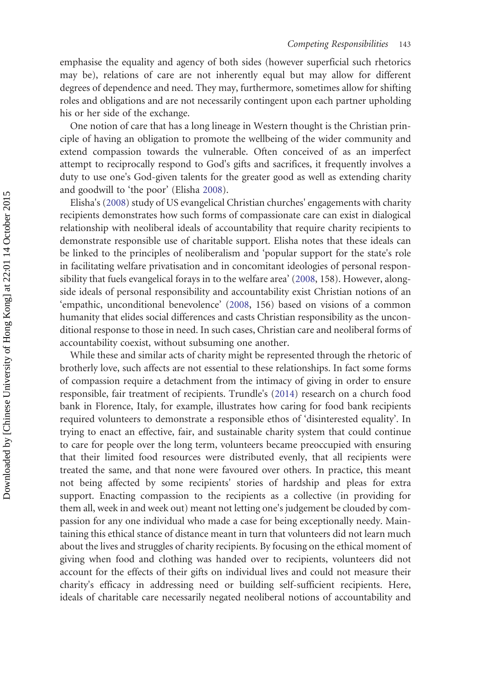emphasise the equality and agency of both sides (however superficial such rhetorics may be), relations of care are not inherently equal but may allow for different degrees of dependence and need. They may, furthermore, sometimes allow for shifting roles and obligations and are not necessarily contingent upon each partner upholding his or her side of the exchange.

One notion of care that has a long lineage in Western thought is the Christian principle of having an obligation to promote the wellbeing of the wider community and extend compassion towards the vulnerable. Often conceived of as an imperfect attempt to reciprocally respond to God's gifts and sacrifices, it frequently involves a duty to use one's God-given talents for the greater good as well as extending charity and goodwill to 'the poor' (Elisha [2008\)](#page-16-0).

Elisha's [\(2008](#page-16-0)) study of US evangelical Christian churches' engagements with charity recipients demonstrates how such forms of compassionate care can exist in dialogical relationship with neoliberal ideals of accountability that require charity recipients to demonstrate responsible use of charitable support. Elisha notes that these ideals can be linked to the principles of neoliberalism and 'popular support for the state's role in facilitating welfare privatisation and in concomitant ideologies of personal responsibility that fuels evangelical forays in to the welfare area' [\(2008](#page-16-0), 158). However, alongside ideals of personal responsibility and accountability exist Christian notions of an 'empathic, unconditional benevolence' ([2008,](#page-16-0) 156) based on visions of a common humanity that elides social differences and casts Christian responsibility as the unconditional response to those in need. In such cases, Christian care and neoliberal forms of accountability coexist, without subsuming one another.

While these and similar acts of charity might be represented through the rhetoric of brotherly love, such affects are not essential to these relationships. In fact some forms of compassion require a detachment from the intimacy of giving in order to ensure responsible, fair treatment of recipients. Trundle's [\(2014](#page-18-0)) research on a church food bank in Florence, Italy, for example, illustrates how caring for food bank recipients required volunteers to demonstrate a responsible ethos of 'disinterested equality'. In trying to enact an effective, fair, and sustainable charity system that could continue to care for people over the long term, volunteers became preoccupied with ensuring that their limited food resources were distributed evenly, that all recipients were treated the same, and that none were favoured over others. In practice, this meant not being affected by some recipients' stories of hardship and pleas for extra support. Enacting compassion to the recipients as a collective (in providing for them all, week in and week out) meant not letting one's judgement be clouded by compassion for any one individual who made a case for being exceptionally needy. Maintaining this ethical stance of distance meant in turn that volunteers did not learn much about the lives and struggles of charity recipients. By focusing on the ethical moment of giving when food and clothing was handed over to recipients, volunteers did not account for the effects of their gifts on individual lives and could not measure their charity's efficacy in addressing need or building self-sufficient recipients. Here, ideals of charitable care necessarily negated neoliberal notions of accountability and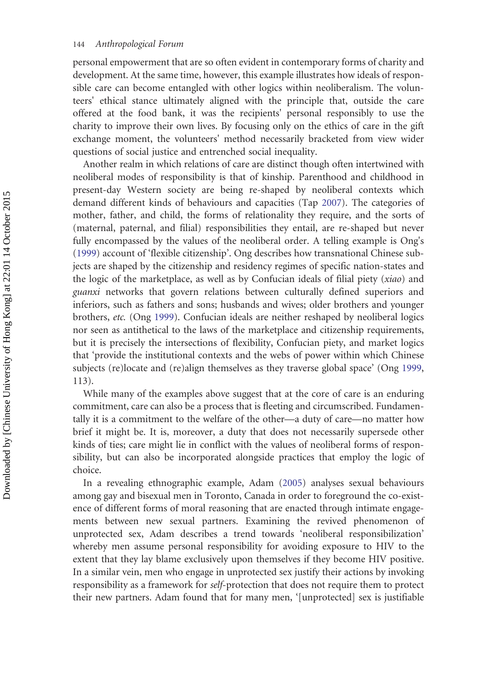personal empowerment that are so often evident in contemporary forms of charity and development. At the same time, however, this example illustrates how ideals of responsible care can become entangled with other logics within neoliberalism. The volunteers' ethical stance ultimately aligned with the principle that, outside the care offered at the food bank, it was the recipients' personal responsibly to use the charity to improve their own lives. By focusing only on the ethics of care in the gift exchange moment, the volunteers' method necessarily bracketed from view wider questions of social justice and entrenched social inequality.

Another realm in which relations of care are distinct though often intertwined with neoliberal modes of responsibility is that of kinship. Parenthood and childhood in present-day Western society are being re-shaped by neoliberal contexts which demand different kinds of behaviours and capacities (Tap [2007](#page-17-0)). The categories of mother, father, and child, the forms of relationality they require, and the sorts of (maternal, paternal, and filial) responsibilities they entail, are re-shaped but never fully encompassed by the values of the neoliberal order. A telling example is Ong's [\(1999](#page-17-0)) account of 'flexible citizenship'. Ong describes how transnational Chinese subjects are shaped by the citizenship and residency regimes of specific nation-states and the logic of the marketplace, as well as by Confucian ideals of filial piety (xiao) and guanxi networks that govern relations between culturally defined superiors and inferiors, such as fathers and sons; husbands and wives; older brothers and younger brothers, etc. (Ong [1999](#page-17-0)). Confucian ideals are neither reshaped by neoliberal logics nor seen as antithetical to the laws of the marketplace and citizenship requirements, but it is precisely the intersections of flexibility, Confucian piety, and market logics that 'provide the institutional contexts and the webs of power within which Chinese subjects (re)locate and (re)align themselves as they traverse global space' (Ong [1999,](#page-17-0) 113).

While many of the examples above suggest that at the core of care is an enduring commitment, care can also be a process that is fleeting and circumscribed. Fundamentally it is a commitment to the welfare of the other—a duty of care—no matter how brief it might be. It is, moreover, a duty that does not necessarily supersede other kinds of ties; care might lie in conflict with the values of neoliberal forms of responsibility, but can also be incorporated alongside practices that employ the logic of choice.

In a revealing ethnographic example, Adam [\(2005](#page-15-0)) analyses sexual behaviours among gay and bisexual men in Toronto, Canada in order to foreground the co-existence of different forms of moral reasoning that are enacted through intimate engagements between new sexual partners. Examining the revived phenomenon of unprotected sex, Adam describes a trend towards 'neoliberal responsibilization' whereby men assume personal responsibility for avoiding exposure to HIV to the extent that they lay blame exclusively upon themselves if they become HIV positive. In a similar vein, men who engage in unprotected sex justify their actions by invoking responsibility as a framework for self-protection that does not require them to protect their new partners. Adam found that for many men, '[unprotected] sex is justifiable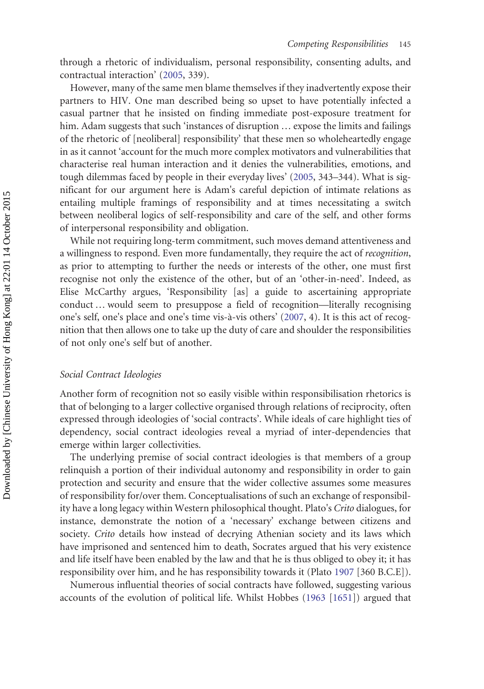through a rhetoric of individualism, personal responsibility, consenting adults, and contractual interaction' [\(2005](#page-15-0), 339).

However, many of the same men blame themselves if they inadvertently expose their partners to HIV. One man described being so upset to have potentially infected a casual partner that he insisted on finding immediate post-exposure treatment for him. Adam suggests that such 'instances of disruption ... expose the limits and failings of the rhetoric of [neoliberal] responsibility' that these men so wholeheartedly engage in as it cannot 'account for the much more complex motivators and vulnerabilities that characterise real human interaction and it denies the vulnerabilities, emotions, and tough dilemmas faced by people in their everyday lives' [\(2005](#page-15-0), 343–344). What is significant for our argument here is Adam's careful depiction of intimate relations as entailing multiple framings of responsibility and at times necessitating a switch between neoliberal logics of self-responsibility and care of the self, and other forms of interpersonal responsibility and obligation.

While not requiring long-term commitment, such moves demand attentiveness and a willingness to respond. Even more fundamentally, they require the act of recognition, as prior to attempting to further the needs or interests of the other, one must first recognise not only the existence of the other, but of an 'other-in-need'. Indeed, as Elise McCarthy argues, 'Responsibility [as] a guide to ascertaining appropriate conduct … would seem to presuppose a field of recognition—literally recognising one's self, one's place and one's time vis-à-vis others' ([2007,](#page-17-0) 4). It is this act of recognition that then allows one to take up the duty of care and shoulder the responsibilities of not only one's self but of another.

#### Social Contract Ideologies

Another form of recognition not so easily visible within responsibilisation rhetorics is that of belonging to a larger collective organised through relations of reciprocity, often expressed through ideologies of 'social contracts'. While ideals of care highlight ties of dependency, social contract ideologies reveal a myriad of inter-dependencies that emerge within larger collectivities.

The underlying premise of social contract ideologies is that members of a group relinquish a portion of their individual autonomy and responsibility in order to gain protection and security and ensure that the wider collective assumes some measures of responsibility for/over them. Conceptualisations of such an exchange of responsibility have a long legacy within Western philosophical thought. Plato's Crito dialogues, for instance, demonstrate the notion of a 'necessary' exchange between citizens and society. Crito details how instead of decrying Athenian society and its laws which have imprisoned and sentenced him to death, Socrates argued that his very existence and life itself have been enabled by the law and that he is thus obliged to obey it; it has responsibility over him, and he has responsibility towards it (Plato [1907](#page-17-0) [360 B.C.E]).

Numerous influential theories of social contracts have followed, suggesting various accounts of the evolution of political life. Whilst Hobbes ([1963](#page-16-0) [\[1651](#page-16-0)]) argued that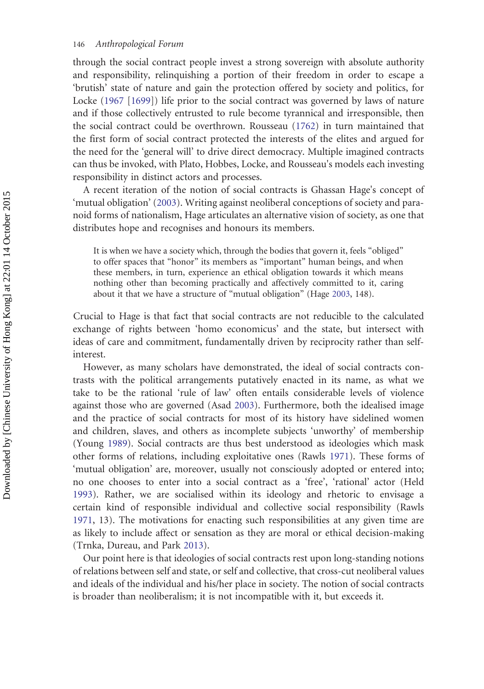through the social contract people invest a strong sovereign with absolute authority and responsibility, relinquishing a portion of their freedom in order to escape a 'brutish' state of nature and gain the protection offered by society and politics, for Locke [\(1967](#page-17-0) [\[1699\]](#page-17-0)) life prior to the social contract was governed by laws of nature and if those collectively entrusted to rule become tyrannical and irresponsible, then the social contract could be overthrown. Rousseau [\(1762](#page-17-0)) in turn maintained that the first form of social contract protected the interests of the elites and argued for the need for the 'general will' to drive direct democracy. Multiple imagined contracts can thus be invoked, with Plato, Hobbes, Locke, and Rousseau's models each investing responsibility in distinct actors and processes.

A recent iteration of the notion of social contracts is Ghassan Hage's concept of 'mutual obligation' ([2003\)](#page-16-0). Writing against neoliberal conceptions of society and paranoid forms of nationalism, Hage articulates an alternative vision of society, as one that distributes hope and recognises and honours its members.

It is when we have a society which, through the bodies that govern it, feels "obliged" to offer spaces that "honor" its members as "important" human beings, and when these members, in turn, experience an ethical obligation towards it which means nothing other than becoming practically and affectively committed to it, caring about it that we have a structure of "mutual obligation" (Hage [2003,](#page-16-0) 148).

Crucial to Hage is that fact that social contracts are not reducible to the calculated exchange of rights between 'homo economicus' and the state, but intersect with ideas of care and commitment, fundamentally driven by reciprocity rather than selfinterest.

However, as many scholars have demonstrated, the ideal of social contracts contrasts with the political arrangements putatively enacted in its name, as what we take to be the rational 'rule of law' often entails considerable levels of violence against those who are governed (Asad [2003](#page-16-0)). Furthermore, both the idealised image and the practice of social contracts for most of its history have sidelined women and children, slaves, and others as incomplete subjects 'unworthy' of membership (Young [1989\)](#page-18-0). Social contracts are thus best understood as ideologies which mask other forms of relations, including exploitative ones (Rawls [1971](#page-17-0)). These forms of 'mutual obligation' are, moreover, usually not consciously adopted or entered into; no one chooses to enter into a social contract as a 'free', 'rational' actor (Held [1993](#page-16-0)). Rather, we are socialised within its ideology and rhetoric to envisage a certain kind of responsible individual and collective social responsibility (Rawls [1971](#page-17-0), 13). The motivations for enacting such responsibilities at any given time are as likely to include affect or sensation as they are moral or ethical decision-making (Trnka, Dureau, and Park [2013](#page-18-0)).

Our point here is that ideologies of social contracts rest upon long-standing notions of relations between self and state, or self and collective, that cross-cut neoliberal values and ideals of the individual and his/her place in society. The notion of social contracts is broader than neoliberalism; it is not incompatible with it, but exceeds it.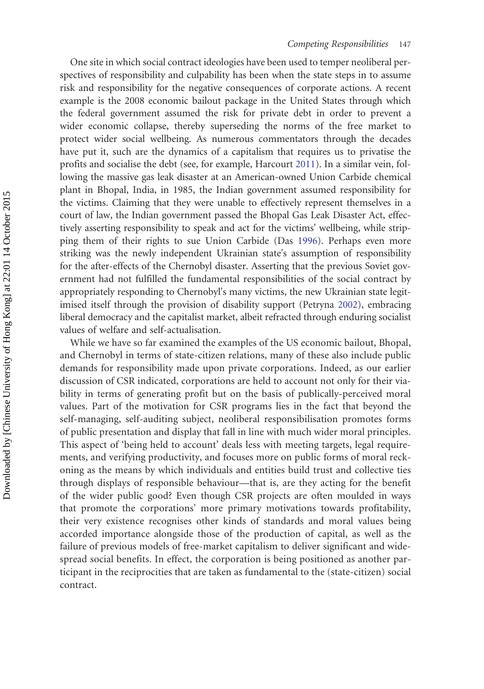One site in which social contract ideologies have been used to temper neoliberal perspectives of responsibility and culpability has been when the state steps in to assume risk and responsibility for the negative consequences of corporate actions. A recent example is the 2008 economic bailout package in the United States through which the federal government assumed the risk for private debt in order to prevent a wider economic collapse, thereby superseding the norms of the free market to protect wider social wellbeing. As numerous commentators through the decades have put it, such are the dynamics of a capitalism that requires us to privatise the profits and socialise the debt (see, for example, Harcourt [2011\)](#page-16-0). In a similar vein, following the massive gas leak disaster at an American-owned Union Carbide chemical plant in Bhopal, India, in 1985, the Indian government assumed responsibility for the victims. Claiming that they were unable to effectively represent themselves in a court of law, the Indian government passed the Bhopal Gas Leak Disaster Act, effectively asserting responsibility to speak and act for the victims' wellbeing, while stripping them of their rights to sue Union Carbide (Das [1996\)](#page-16-0). Perhaps even more striking was the newly independent Ukrainian state's assumption of responsibility for the after-effects of the Chernobyl disaster. Asserting that the previous Soviet government had not fulfilled the fundamental responsibilities of the social contract by appropriately responding to Chernobyl's many victims, the new Ukrainian state legitimised itself through the provision of disability support (Petryna [2002\)](#page-17-0), embracing liberal democracy and the capitalist market, albeit refracted through enduring socialist values of welfare and self-actualisation.

While we have so far examined the examples of the US economic bailout, Bhopal, and Chernobyl in terms of state-citizen relations, many of these also include public demands for responsibility made upon private corporations. Indeed, as our earlier discussion of CSR indicated, corporations are held to account not only for their viability in terms of generating profit but on the basis of publically-perceived moral values. Part of the motivation for CSR programs lies in the fact that beyond the self-managing, self-auditing subject, neoliberal responsibilisation promotes forms of public presentation and display that fall in line with much wider moral principles. This aspect of 'being held to account' deals less with meeting targets, legal requirements, and verifying productivity, and focuses more on public forms of moral reckoning as the means by which individuals and entities build trust and collective ties through displays of responsible behaviour—that is, are they acting for the benefit of the wider public good? Even though CSR projects are often moulded in ways that promote the corporations' more primary motivations towards profitability, their very existence recognises other kinds of standards and moral values being accorded importance alongside those of the production of capital, as well as the failure of previous models of free-market capitalism to deliver significant and widespread social benefits. In effect, the corporation is being positioned as another participant in the reciprocities that are taken as fundamental to the (state-citizen) social contract.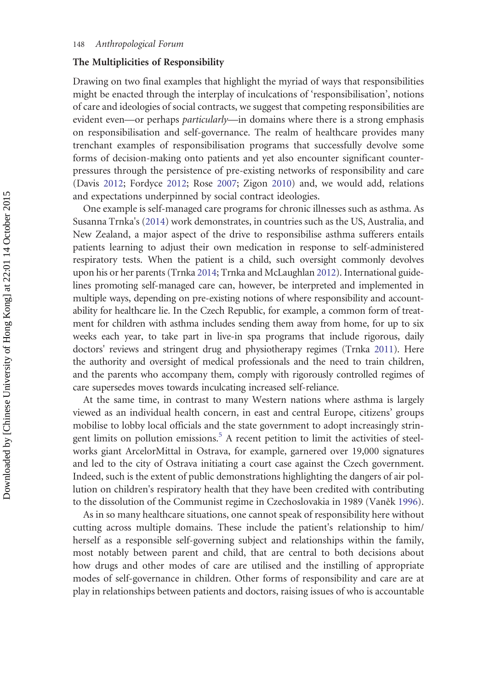#### The Multiplicities of Responsibility

Drawing on two final examples that highlight the myriad of ways that responsibilities might be enacted through the interplay of inculcations of 'responsibilisation', notions of care and ideologies of social contracts, we suggest that competing responsibilities are evident even—or perhaps particularly—in domains where there is a strong emphasis on responsibilisation and self-governance. The realm of healthcare provides many trenchant examples of responsibilisation programs that successfully devolve some forms of decision-making onto patients and yet also encounter significant counterpressures through the persistence of pre-existing networks of responsibility and care (Davis [2012;](#page-16-0) Fordyce [2012](#page-16-0); Rose [2007](#page-17-0); Zigon [2010](#page-18-0)) and, we would add, relations and expectations underpinned by social contract ideologies.

One example is self-managed care programs for chronic illnesses such as asthma. As Susanna Trnka's [\(2014](#page-17-0)) work demonstrates, in countries such as the US, Australia, and New Zealand, a major aspect of the drive to responsibilise asthma sufferers entails patients learning to adjust their own medication in response to self-administered respiratory tests. When the patient is a child, such oversight commonly devolves upon his or her parents (Trnka [2014;](#page-17-0) Trnka and McLaughlan [2012\)](#page-18-0). International guidelines promoting self-managed care can, however, be interpreted and implemented in multiple ways, depending on pre-existing notions of where responsibility and accountability for healthcare lie. In the Czech Republic, for example, a common form of treatment for children with asthma includes sending them away from home, for up to six weeks each year, to take part in live-in spa programs that include rigorous, daily doctors' reviews and stringent drug and physiotherapy regimes (Trnka [2011](#page-17-0)). Here the authority and oversight of medical professionals and the need to train children, and the parents who accompany them, comply with rigorously controlled regimes of care supersedes moves towards inculcating increased self-reliance.

At the same time, in contrast to many Western nations where asthma is largely viewed as an individual health concern, in east and central Europe, citizens' groups mobilise to lobby local officials and the state government to adopt increasingly strin-gent limits on pollution emissions.<sup>[5](#page-15-0)</sup> A recent petition to limit the activities of steelworks giant ArcelorMittal in Ostrava, for example, garnered over 19,000 signatures and led to the city of Ostrava initiating a court case against the Czech government. Indeed, such is the extent of public demonstrations highlighting the dangers of air pollution on children's respiratory health that they have been credited with contributing to the dissolution of the Communist regime in Czechoslovakia in 1989 (Vaněk [1996\)](#page-18-0).

As in so many healthcare situations, one cannot speak of responsibility here without cutting across multiple domains. These include the patient's relationship to him/ herself as a responsible self-governing subject and relationships within the family, most notably between parent and child, that are central to both decisions about how drugs and other modes of care are utilised and the instilling of appropriate modes of self-governance in children. Other forms of responsibility and care are at play in relationships between patients and doctors, raising issues of who is accountable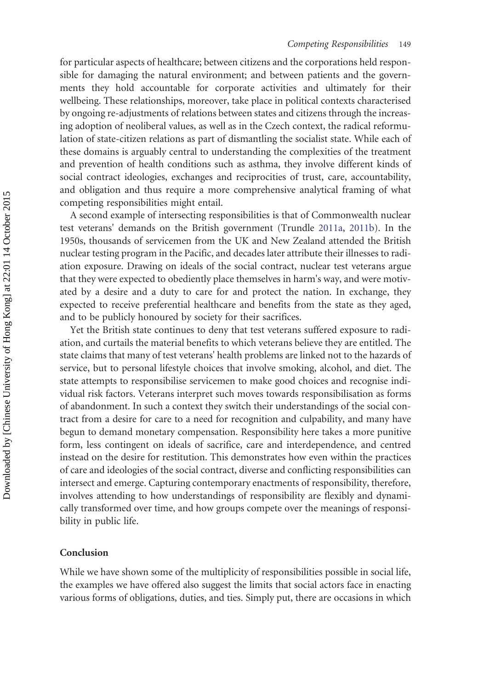for particular aspects of healthcare; between citizens and the corporations held responsible for damaging the natural environment; and between patients and the governments they hold accountable for corporate activities and ultimately for their wellbeing. These relationships, moreover, take place in political contexts characterised by ongoing re-adjustments of relations between states and citizens through the increasing adoption of neoliberal values, as well as in the Czech context, the radical reformulation of state-citizen relations as part of dismantling the socialist state. While each of these domains is arguably central to understanding the complexities of the treatment and prevention of health conditions such as asthma, they involve different kinds of social contract ideologies, exchanges and reciprocities of trust, care, accountability, and obligation and thus require a more comprehensive analytical framing of what competing responsibilities might entail.

A second example of intersecting responsibilities is that of Commonwealth nuclear test veterans' demands on the British government (Trundle [2011a](#page-18-0), [2011b\)](#page-18-0). In the 1950s, thousands of servicemen from the UK and New Zealand attended the British nuclear testing program in the Pacific, and decades later attribute their illnesses to radiation exposure. Drawing on ideals of the social contract, nuclear test veterans argue that they were expected to obediently place themselves in harm's way, and were motivated by a desire and a duty to care for and protect the nation. In exchange, they expected to receive preferential healthcare and benefits from the state as they aged, and to be publicly honoured by society for their sacrifices.

Yet the British state continues to deny that test veterans suffered exposure to radiation, and curtails the material benefits to which veterans believe they are entitled. The state claims that many of test veterans' health problems are linked not to the hazards of service, but to personal lifestyle choices that involve smoking, alcohol, and diet. The state attempts to responsibilise servicemen to make good choices and recognise individual risk factors. Veterans interpret such moves towards responsibilisation as forms of abandonment. In such a context they switch their understandings of the social contract from a desire for care to a need for recognition and culpability, and many have begun to demand monetary compensation. Responsibility here takes a more punitive form, less contingent on ideals of sacrifice, care and interdependence, and centred instead on the desire for restitution. This demonstrates how even within the practices of care and ideologies of the social contract, diverse and conflicting responsibilities can intersect and emerge. Capturing contemporary enactments of responsibility, therefore, involves attending to how understandings of responsibility are flexibly and dynamically transformed over time, and how groups compete over the meanings of responsibility in public life.

#### **Conclusion**

While we have shown some of the multiplicity of responsibilities possible in social life, the examples we have offered also suggest the limits that social actors face in enacting various forms of obligations, duties, and ties. Simply put, there are occasions in which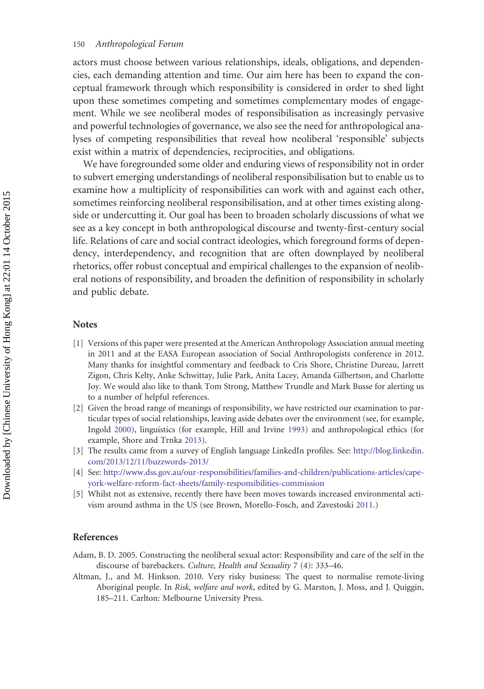<span id="page-15-0"></span>actors must choose between various relationships, ideals, obligations, and dependencies, each demanding attention and time. Our aim here has been to expand the conceptual framework through which responsibility is considered in order to shed light upon these sometimes competing and sometimes complementary modes of engagement. While we see neoliberal modes of responsibilisation as increasingly pervasive and powerful technologies of governance, we also see the need for anthropological analyses of competing responsibilities that reveal how neoliberal 'responsible' subjects exist within a matrix of dependencies, reciprocities, and obligations.

We have foregrounded some older and enduring views of responsibility not in order to subvert emerging understandings of neoliberal responsibilisation but to enable us to examine how a multiplicity of responsibilities can work with and against each other, sometimes reinforcing neoliberal responsibilisation, and at other times existing alongside or undercutting it. Our goal has been to broaden scholarly discussions of what we see as a key concept in both anthropological discourse and twenty-first-century social life. Relations of care and social contract ideologies, which foreground forms of dependency, interdependency, and recognition that are often downplayed by neoliberal rhetorics, offer robust conceptual and empirical challenges to the expansion of neoliberal notions of responsibility, and broaden the definition of responsibility in scholarly and public debate.

#### Notes

- [1] Versions of this paper were presented at the American Anthropology Association annual meeting in 2011 and at the EASA European association of Social Anthropologists conference in 2012. Many thanks for insightful commentary and feedback to Cris Shore, Christine Dureau, Jarrett Zigon, Chris Kelty, Anke Schwittay, Julie Park, Anita Lacey, Amanda Gilbertson, and Charlotte Joy. We would also like to thank Tom Strong, Matthew Trundle and Mark Busse for alerting us to a number of helpful references.
- [2] Given the broad range of meanings of responsibility, we have restricted our examination to particular types of social relationships, leaving aside debates over the environment (see, for example, Ingold [2000\)](#page-16-0), linguistics (for example, Hill and Irvine [1993\)](#page-16-0) and anthropological ethics (for example, Shore and Trnka [2013\)](#page-17-0).
- [3] The results came from a survey of English language LinkedIn profiles. See: [http://blog.linkedin.](http://blog.linkedin.com/2013/12/11/buzzwords-2013/) [com/2013/12/11/buzzwords-2013/](http://blog.linkedin.com/2013/12/11/buzzwords-2013/)
- [4] See: [http://www.dss.gov.au/our-responsibilities/families-and-children/publications-articles/cape](http://www.dss.gov.au/our-responsibilities/families-and-children/publications-articles/cape-york-welfare-reform-fact-sheets/family-responsibilities-commission)[york-welfare-reform-fact-sheets/family-responsibilities-commission](http://www.dss.gov.au/our-responsibilities/families-and-children/publications-articles/cape-york-welfare-reform-fact-sheets/family-responsibilities-commission)
- [5] Whilst not as extensive, recently there have been moves towards increased environmental activism around asthma in the US (see Brown, Morello-Fosch, and Zavestoski [2011](#page-16-0).)

#### References

- Adam, B. D. 2005. Constructing the neoliberal sexual actor: Responsibility and care of the self in the discourse of barebackers. Culture, Health and Sexuality 7 (4): 333–46.
- Altman, J., and M. Hinkson. 2010. Very risky business: The quest to normalise remote-living Aboriginal people. In Risk, welfare and work, edited by G. Marston, J. Moss, and J. Quiggin, 185–211. Carlton: Melbourne University Press.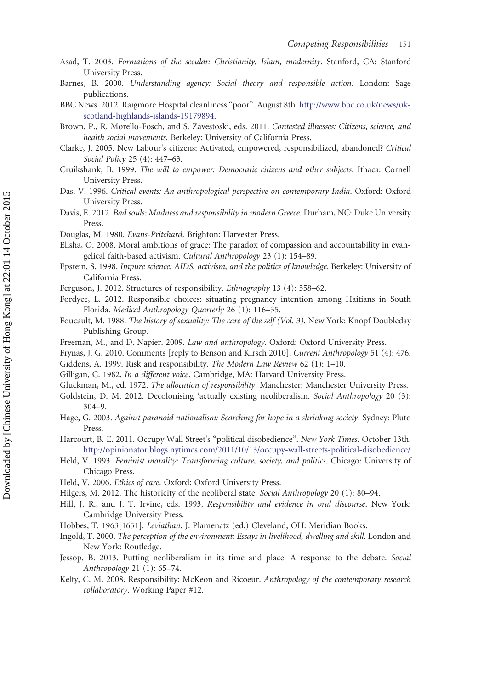- <span id="page-16-0"></span>Asad, T. 2003. Formations of the secular: Christianity, Islam, modernity. Stanford, CA: Stanford University Press.
- Barnes, B. 2000. Understanding agency: Social theory and responsible action. London: Sage publications.
- BBC News. 2012. Raigmore Hospital cleanliness "poor". August 8th. [http://www.bbc.co.uk/news/uk](http://www.bbc.co.uk/news/uk-scotland-highlands-islands-19179894)[scotland-highlands-islands-19179894](http://www.bbc.co.uk/news/uk-scotland-highlands-islands-19179894).
- Brown, P., R. Morello-Fosch, and S. Zavestoski, eds. 2011. Contested illnesses: Citizens, science, and health social movements. Berkeley: University of California Press.
- Clarke, J. 2005. New Labour's citizens: Activated, empowered, responsibilized, abandoned? Critical Social Policy 25 (4): 447–63.
- Cruikshank, B. 1999. The will to empower: Democratic citizens and other subjects. Ithaca: Cornell University Press.
- Das, V. 1996. Critical events: An anthropological perspective on contemporary India. Oxford: Oxford University Press.
- Davis, E. 2012. Bad souls: Madness and responsibility in modern Greece. Durham, NC: Duke University Press.
- Douglas, M. 1980. Evans-Pritchard. Brighton: Harvester Press.
- Elisha, O. 2008. Moral ambitions of grace: The paradox of compassion and accountability in evangelical faith-based activism. Cultural Anthropology 23 (1): 154–89.
- Epstein, S. 1998. Impure science: AIDS, activism, and the politics of knowledge. Berkeley: University of California Press.
- Ferguson, J. 2012. Structures of responsibility. Ethnography 13 (4): 558–62.
- Fordyce, L. 2012. Responsible choices: situating pregnancy intention among Haitians in South Florida. Medical Anthropology Quarterly 26 (1): 116–35.
- Foucault, M. 1988. The history of sexuality: The care of the self (Vol. 3). New York: Knopf Doubleday Publishing Group.
- Freeman, M., and D. Napier. 2009. Law and anthropology. Oxford: Oxford University Press.
- Frynas, J. G. 2010. Comments [reply to Benson and Kirsch 2010]. Current Anthropology 51 (4): 476.
- Giddens, A. 1999. Risk and responsibility. The Modern Law Review 62 (1): 1–10.
- Gilligan, C. 1982. In a different voice. Cambridge, MA: Harvard University Press.
- Gluckman, M., ed. 1972. The allocation of responsibility. Manchester: Manchester University Press.
- Goldstein, D. M. 2012. Decolonising 'actually existing neoliberalism. Social Anthropology 20 (3): 304–9.
- Hage, G. 2003. Against paranoid nationalism: Searching for hope in a shrinking society. Sydney: Pluto Press.
- Harcourt, B. E. 2011. Occupy Wall Street's "political disobedience". New York Times. October 13th. <http://opinionator.blogs.nytimes.com/2011/10/13/occupy-wall-streets-political-disobedience/>
- Held, V. 1993. Feminist morality: Transforming culture, society, and politics. Chicago: University of Chicago Press.
- Held, V. 2006. Ethics of care. Oxford: Oxford University Press.
- Hilgers, M. 2012. The historicity of the neoliberal state. Social Anthropology 20 (1): 80–94.
- Hill, J. R., and J. T. Irvine, eds. 1993. Responsibility and evidence in oral discourse. New York: Cambridge University Press.
- Hobbes, T. 1963[1651]. Leviathan. J. Plamenatz (ed.) Cleveland, OH: Meridian Books.
- Ingold, T. 2000. The perception of the environment: Essays in livelihood, dwelling and skill. London and New York: Routledge.
- Jessop, B. 2013. Putting neoliberalism in its time and place: A response to the debate. Social Anthropology 21 (1): 65–74.
- Kelty, C. M. 2008. Responsibility: McKeon and Ricoeur. Anthropology of the contemporary research collaboratory. Working Paper #12.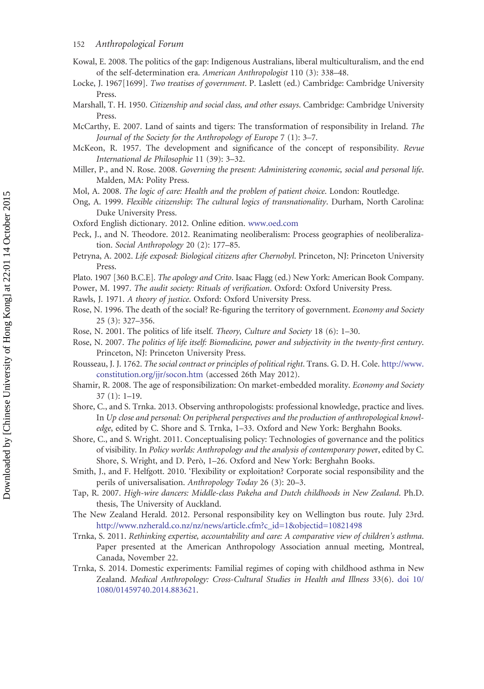#### <span id="page-17-0"></span>152 Anthropological Forum

- Kowal, E. 2008. The politics of the gap: Indigenous Australians, liberal multiculturalism, and the end of the self-determination era. American Anthropologist 110 (3): 338–48.
- Locke, J. 1967[1699]. Two treatises of government. P. Laslett (ed.) Cambridge: Cambridge University Press.
- Marshall, T. H. 1950. Citizenship and social class, and other essays. Cambridge: Cambridge University Press.
- McCarthy, E. 2007. Land of saints and tigers: The transformation of responsibility in Ireland. The Journal of the Society for the Anthropology of Europe 7 (1): 3–7.
- McKeon, R. 1957. The development and significance of the concept of responsibility. Revue International de Philosophie 11 (39): 3–32.
- Miller, P., and N. Rose. 2008. Governing the present: Administering economic, social and personal life. Malden, MA: Polity Press.
- Mol, A. 2008. The logic of care: Health and the problem of patient choice. London: Routledge.
- Ong, A. 1999. Flexible citizenship: The cultural logics of transnationality. Durham, North Carolina: Duke University Press.
- Oxford English dictionary. 2012. Online edition. [www.oed.com](http://www.oed.com)
- Peck, J., and N. Theodore. 2012. Reanimating neoliberalism: Process geographies of neoliberalization. Social Anthropology 20 (2): 177–85.
- Petryna, A. 2002. Life exposed: Biological citizens after Chernobyl. Princeton, NJ: Princeton University Press.
- Plato. 1907 [360 B.C.E]. The apology and Crito. Isaac Flagg (ed.) New York: American Book Company.
- Power, M. 1997. The audit society: Rituals of verification. Oxford: Oxford University Press.
- Rawls, J. 1971. A theory of justice. Oxford: Oxford University Press.
- Rose, N. 1996. The death of the social? Re-figuring the territory of government. Economy and Society 25 (3): 327–356.
- Rose, N. 2001. The politics of life itself. Theory, Culture and Society 18 (6): 1–30.
- Rose, N. 2007. The politics of life itself: Biomedicine, power and subjectivity in the twenty-first century. Princeton, NJ: Princeton University Press.
- Rousseau, J. J. 1762. The social contract or principles of political right. Trans. G. D. H. Cole. [http://www.](http://www.constitution.org/jjr/socon.htm) [constitution.org/jjr/socon.htm](http://www.constitution.org/jjr/socon.htm) (accessed 26th May 2012).
- Shamir, R. 2008. The age of responsibilization: On market-embedded morality. Economy and Society 37 (1): 1–19.
- Shore, C., and S. Trnka. 2013. Observing anthropologists: professional knowledge, practice and lives. In Up close and personal: On peripheral perspectives and the production of anthropological knowledge, edited by C. Shore and S. Trnka, 1–33. Oxford and New York: Berghahn Books.
- Shore, C., and S. Wright. 2011. Conceptualising policy: Technologies of governance and the politics of visibility. In Policy worlds: Anthropology and the analysis of contemporary power, edited by C. Shore, S. Wright, and D. Però, 1–26. Oxford and New York: Berghahn Books.
- Smith, J., and F. Helfgott. 2010. 'Flexibility or exploitation? Corporate social responsibility and the perils of universalisation. Anthropology Today 26 (3): 20–3.
- Tap, R. 2007. High-wire dancers: Middle-class Pakeha and Dutch childhoods in New Zealand. Ph.D. thesis, The University of Auckland.
- The New Zealand Herald. 2012. Personal responsibility key on Wellington bus route. July 23rd. [http://www.nzherald.co.nz/nz/news/article.cfm?c\\_id=1&objectid=10821498](http://www.nzherald.co.nz/nz/news/article.cfm?c_id=1&objectid=10821498)
- Trnka, S. 2011. Rethinking expertise, accountability and care: A comparative view of children's asthma. Paper presented at the American Anthropology Association annual meeting, Montreal, Canada, November 22.
- Trnka, S. 2014. Domestic experiments: Familial regimes of coping with childhood asthma in New Zealand. Medical Anthropology: Cross-Cultural Studies in Health and Illness 33(6). [doi 10/](http://dx.doi.org/10/1080/01459740.2014.883621) [1080/01459740.2014.883621](http://dx.doi.org/10/1080/01459740.2014.883621).